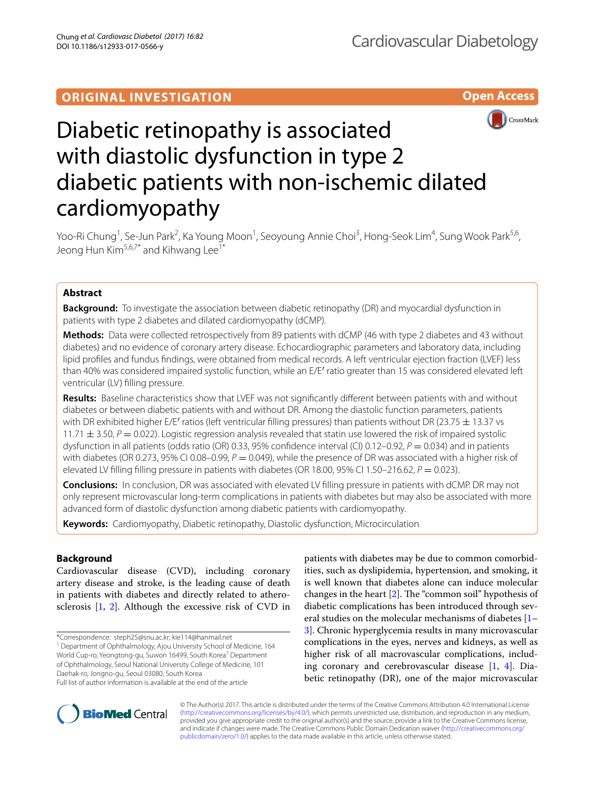## **ORIGINAL INVESTIGATION**

**Open Access**



# Diabetic retinopathy is associated with diastolic dysfunction in type 2 diabetic patients with non-ischemic dilated cardiomyopathy

Yoo-Ri Chung<sup>1</sup>, Se-Jun Park<sup>2</sup>, Ka Young Moon<sup>1</sup>, Seoyoung Annie Choi<sup>3</sup>, Hong-Seok Lim<sup>4</sup>, Sung Wook Park<sup>5,6</sup>, Jeong Hun Kim<sup>5,6,7\*</sup> and Kihwang Lee<sup>1\*</sup>

## **Abstract**

**Background:** To investigate the association between diabetic retinopathy (DR) and myocardial dysfunction in patients with type 2 diabetes and dilated cardiomyopathy (dCMP).

**Methods:** Data were collected retrospectively from 89 patients with dCMP (46 with type 2 diabetes and 43 without diabetes) and no evidence of coronary artery disease. Echocardiographic parameters and laboratory data, including lipid profles and fundus fndings, were obtained from medical records. A left ventricular ejection fraction (LVEF) less than 40% was considered impaired systolic function, while an E/E′ ratio greater than 15 was considered elevated left ventricular (LV) flling pressure.

**Results:** Baseline characteristics show that LVEF was not signifcantly diferent between patients with and without diabetes or between diabetic patients with and without DR. Among the diastolic function parameters, patients with DR exhibited higher E/E' ratios (left ventricular filling pressures) than patients without DR (23.75  $\pm$  13.37 vs  $11.71 \pm 3.50$ ,  $P = 0.022$ ). Logistic regression analysis revealed that statin use lowered the risk of impaired systolic dysfunction in all patients (odds ratio (OR) 0.33, 95% confidence interval (CI) 0.12–0.92, *P* = 0.034) and in patients with diabetes (OR 0.273, 95% CI 0.08–0.99,  $P = 0.049$ ), while the presence of DR was associated with a higher risk of elevated LV filling filling pressure in patients with diabetes (OR 18.00, 95% CI 1.50–216.62,  $P = 0.023$ ).

**Conclusions:** In conclusion, DR was associated with elevated LV flling pressure in patients with dCMP. DR may not only represent microvascular long-term complications in patients with diabetes but may also be associated with more advanced form of diastolic dysfunction among diabetic patients with cardiomyopathy.

**Keywords:** Cardiomyopathy, Diabetic retinopathy, Diastolic dysfunction, Microcirculation

## **Background**

Cardiovascular disease (CVD), including coronary artery disease and stroke, is the leading cause of death in patients with diabetes and directly related to atherosclerosis [\[1](#page-6-0), [2\]](#page-6-1). Although the excessive risk of CVD in

\*Correspondence: steph25@snu.ac.kr; kie114@hanmail.net

<sup>1</sup> Department of Ophthalmology, Ajou University School of Medicine, 164 World Cup-ro, Yeongtong-gu, Suwon 16499, South Korea<sup>7</sup> Department of Ophthalmology, Seoul National University College of Medicine, 101 Daehak‑ro, Jongno‑gu, Seoul 03080, South Korea Full list of author information is available at the end of the article

patients with diabetes may be due to common comorbidities, such as dyslipidemia, hypertension, and smoking, it is well known that diabetes alone can induce molecular changes in the heart  $[2]$  $[2]$ . The "common soil" hypothesis of diabetic complications has been introduced through several studies on the molecular mechanisms of diabetes [[1–](#page-6-0) [3\]](#page-6-2). Chronic hyperglycemia results in many microvascular complications in the eyes, nerves and kidneys, as well as higher risk of all macrovascular complications, including coronary and cerebrovascular disease [[1,](#page-6-0) [4\]](#page-6-3). Diabetic retinopathy (DR), one of the major microvascular



© The Author(s) 2017. This article is distributed under the terms of the Creative Commons Attribution 4.0 International License [\(http://creativecommons.org/licenses/by/4.0/\)](http://creativecommons.org/licenses/by/4.0/), which permits unrestricted use, distribution, and reproduction in any medium, provided you give appropriate credit to the original author(s) and the source, provide a link to the Creative Commons license, and indicate if changes were made. The Creative Commons Public Domain Dedication waiver ([http://creativecommons.org/](http://creativecommons.org/publicdomain/zero/1.0/) [publicdomain/zero/1.0/](http://creativecommons.org/publicdomain/zero/1.0/)) applies to the data made available in this article, unless otherwise stated.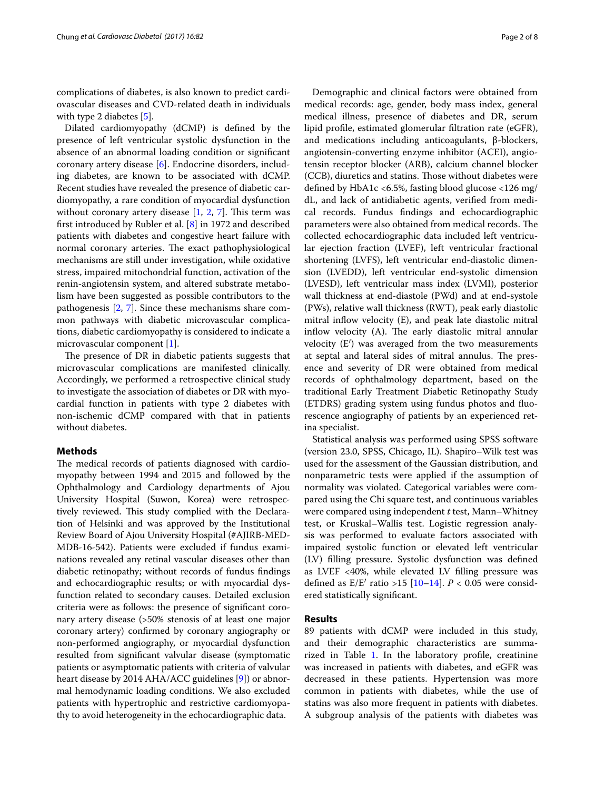complications of diabetes, is also known to predict cardiovascular diseases and CVD-related death in individuals with type 2 diabetes [[5\]](#page-6-4).

Dilated cardiomyopathy (dCMP) is defned by the presence of left ventricular systolic dysfunction in the absence of an abnormal loading condition or signifcant coronary artery disease [\[6](#page-6-5)]. Endocrine disorders, including diabetes, are known to be associated with dCMP. Recent studies have revealed the presence of diabetic cardiomyopathy, a rare condition of myocardial dysfunction without coronary artery disease  $[1, 2, 7]$  $[1, 2, 7]$  $[1, 2, 7]$  $[1, 2, 7]$  $[1, 2, 7]$  $[1, 2, 7]$ . This term was frst introduced by Rubler et al. [[8\]](#page-6-7) in 1972 and described patients with diabetes and congestive heart failure with normal coronary arteries. The exact pathophysiological mechanisms are still under investigation, while oxidative stress, impaired mitochondrial function, activation of the renin-angiotensin system, and altered substrate metabolism have been suggested as possible contributors to the pathogenesis [\[2,](#page-6-1) [7](#page-6-6)]. Since these mechanisms share common pathways with diabetic microvascular complications, diabetic cardiomyopathy is considered to indicate a microvascular component [\[1](#page-6-0)].

The presence of DR in diabetic patients suggests that microvascular complications are manifested clinically. Accordingly, we performed a retrospective clinical study to investigate the association of diabetes or DR with myocardial function in patients with type 2 diabetes with non-ischemic dCMP compared with that in patients without diabetes.

#### **Methods**

The medical records of patients diagnosed with cardiomyopathy between 1994 and 2015 and followed by the Ophthalmology and Cardiology departments of Ajou University Hospital (Suwon, Korea) were retrospectively reviewed. This study complied with the Declaration of Helsinki and was approved by the Institutional Review Board of Ajou University Hospital (#AJIRB-MED-MDB-16-542). Patients were excluded if fundus examinations revealed any retinal vascular diseases other than diabetic retinopathy; without records of fundus fndings and echocardiographic results; or with myocardial dysfunction related to secondary causes. Detailed exclusion criteria were as follows: the presence of signifcant coronary artery disease (>50% stenosis of at least one major coronary artery) confrmed by coronary angiography or non-performed angiography, or myocardial dysfunction resulted from signifcant valvular disease (symptomatic patients or asymptomatic patients with criteria of valvular heart disease by 2014 AHA/ACC guidelines [\[9\]](#page-6-8)) or abnormal hemodynamic loading conditions. We also excluded patients with hypertrophic and restrictive cardiomyopathy to avoid heterogeneity in the echocardiographic data.

Demographic and clinical factors were obtained from medical records: age, gender, body mass index, general medical illness, presence of diabetes and DR, serum lipid profle, estimated glomerular fltration rate (eGFR), and medications including anticoagulants, β-blockers, angiotensin-converting enzyme inhibitor (ACEI), angiotensin receptor blocker (ARB), calcium channel blocker (CCB), diuretics and statins. Those without diabetes were defned by HbA1c <6.5%, fasting blood glucose <126 mg/ dL, and lack of antidiabetic agents, verifed from medical records. Fundus fndings and echocardiographic parameters were also obtained from medical records. The collected echocardiographic data included left ventricular ejection fraction (LVEF), left ventricular fractional shortening (LVFS), left ventricular end-diastolic dimension (LVEDD), left ventricular end-systolic dimension (LVESD), left ventricular mass index (LVMI), posterior wall thickness at end-diastole (PWd) and at end-systole (PWs), relative wall thickness (RWT), peak early diastolic mitral infow velocity (E), and peak late diastolic mitral inflow velocity (A). The early diastolic mitral annular velocity (E′) was averaged from the two measurements at septal and lateral sides of mitral annulus. The presence and severity of DR were obtained from medical records of ophthalmology department, based on the traditional Early Treatment Diabetic Retinopathy Study (ETDRS) grading system using fundus photos and fuorescence angiography of patients by an experienced retina specialist.

Statistical analysis was performed using SPSS software (version 23.0, SPSS, Chicago, IL). Shapiro–Wilk test was used for the assessment of the Gaussian distribution, and nonparametric tests were applied if the assumption of normality was violated. Categorical variables were compared using the Chi square test, and continuous variables were compared using independent *t* test, Mann–Whitney test, or Kruskal–Wallis test. Logistic regression analysis was performed to evaluate factors associated with impaired systolic function or elevated left ventricular (LV) flling pressure. Systolic dysfunction was defned as LVEF <40%, while elevated LV flling pressure was defned as E/E′ ratio >15 [\[10–](#page-6-9)[14\]](#page-6-10). *P* < 0.05 were considered statistically signifcant.

#### **Results**

89 patients with dCMP were included in this study, and their demographic characteristics are summarized in Table [1](#page-2-0). In the laboratory profle, creatinine was increased in patients with diabetes, and eGFR was decreased in these patients. Hypertension was more common in patients with diabetes, while the use of statins was also more frequent in patients with diabetes. A subgroup analysis of the patients with diabetes was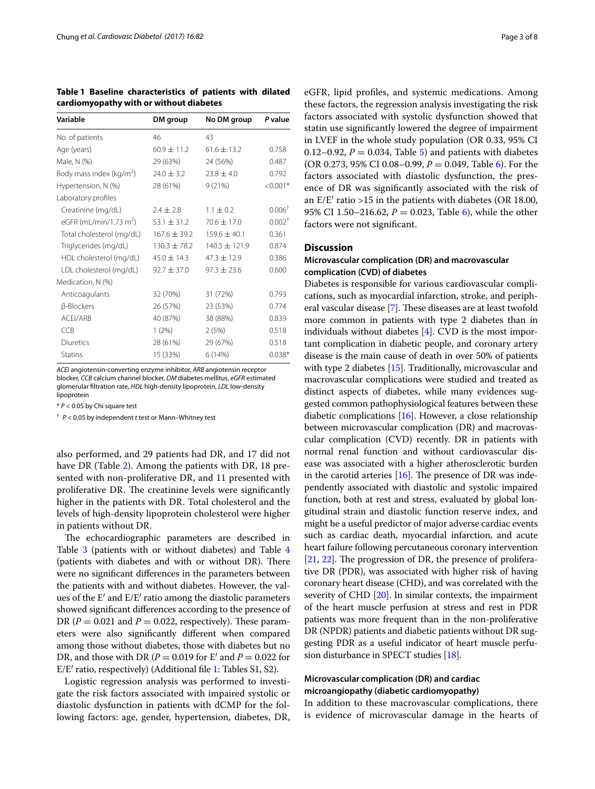<span id="page-2-0"></span>**Table 1 Baseline characteristics of patients with dilated cardiomyopathy with or without diabetes**

| Variable                             | DM group         | No DM group       | P value    |
|--------------------------------------|------------------|-------------------|------------|
| No. of patients                      | 46               | 43                |            |
| Age (years)                          | $60.9 \pm 11.2$  | $61.6 \pm 13.2$   | 0.758      |
| Male, N (%)                          | 29 (63%)         | 24 (56%)          | 0.487      |
| Body mass index (kg/m <sup>2</sup> ) | $24.0 \pm 3.2$   | $23.8 \pm 4.0$    | 0.792      |
| Hypertension, N (%)                  | 28 (61%)         | 9(21%)            | $< 0.001*$ |
| Laboratory profiles                  |                  |                   |            |
| Creatinine (mg/dL)                   | $2.4 \pm 2.8$    | $1.1 \pm 0.2$     | $0.006+$   |
| eGFR (mL/min/1.73 m <sup>2</sup> )   | $53.1 \pm 31.2$  | $70.6 \pm 17.0$   | $0.002+$   |
| Total cholesterol (mg/dL)            | $167.6 \pm 39.2$ | $159.6 \pm 40.1$  | 0.361      |
| Triglycerides (mg/dL)                | $130.3 \pm 78.2$ | $140.5 \pm 121.9$ | 0.874      |
| HDL cholesterol (mg/dL)              | $45.0 \pm 14.3$  | $47.3 \pm 12.9$   | 0.386      |
| LDL cholesterol (mg/dL)              | $92.7 \pm 37.0$  | $97.3 \pm 23.6$   | 0.600      |
| Medication, N (%)                    |                  |                   |            |
| Anticoagulants                       | 32 (70%)         | 31 (72%)          | 0.793      |
| <b>B-Blockers</b>                    | 26 (57%)         | 23 (53%)          | 0.774      |
| ACEI/ARB                             | 40 (87%)         | 38 (88%)          | 0.839      |
| <b>CCB</b>                           | 1(2%)            | 2(5%)             | 0.518      |
| <b>Diuretics</b>                     | 28 (61%)         | 29 (67%)          | 0.518      |
| <b>Statins</b>                       | 15 (33%)         | 6 (14%)           | $0.038*$   |

*ACEI* angiotensin-converting enzyme inhibitor, *ARB* angiotensin receptor blocker, *CCB* calcium channel blocker, *DM* diabetes mellitus, *eGFR* estimated glomerular fltration rate, *HDL* high-density lipoprotein, *LDL* low-density lipoprotein

\* *P* < 0.05 by Chi square test

† *P* < 0.05 by independent *t* test or Mann–Whitney test

also performed, and 29 patients had DR, and 17 did not have DR (Table [2\)](#page-3-0). Among the patients with DR, 18 presented with non-proliferative DR, and 11 presented with proliferative DR. The creatinine levels were significantly higher in the patients with DR. Total cholesterol and the levels of high-density lipoprotein cholesterol were higher in patients without DR.

The echocardiographic parameters are described in Table  $3$  (patients with or without diabetes) and Table  $4$ (patients with diabetes and with or without DR). There were no signifcant diferences in the parameters between the patients with and without diabetes. However, the values of the E′ and E/E′ ratio among the diastolic parameters showed signifcant diferences according to the presence of DR ( $P = 0.021$  and  $P = 0.022$ , respectively). These parameters were also signifcantly diferent when compared among those without diabetes, those with diabetes but no DR, and those with DR ( $P = 0.019$  for E' and  $P = 0.022$  for E/E′ ratio, respectively) (Additional fle [1](#page-5-0): Tables S1, S2).

Logistic regression analysis was performed to investigate the risk factors associated with impaired systolic or diastolic dysfunction in patients with dCMP for the following factors: age, gender, hypertension, diabetes, DR, eGFR, lipid profles, and systemic medications. Among these factors, the regression analysis investigating the risk factors associated with systolic dysfunction showed that statin use signifcantly lowered the degree of impairment in LVEF in the whole study population (OR 0.33, 95% CI 0.12–0.92,  $P = 0.034$ , Table [5\)](#page-4-1) and patients with diabetes (OR 0.273, 95% CI 0.08–0.99, *P* = 0.049, Table [6](#page-4-2)). For the factors associated with diastolic dysfunction, the presence of DR was signifcantly associated with the risk of an E/E′ ratio >15 in the patients with diabetes (OR 18.00, 95% CI 1.50–216.62,  $P = 0.023$ , Table [6\)](#page-4-2), while the other factors were not signifcant.

#### **Discussion**

## **Microvascular complication (DR) and macrovascular complication (CVD) of diabetes**

Diabetes is responsible for various cardiovascular complications, such as myocardial infarction, stroke, and periph-eral vascular disease [[7\]](#page-6-6). These diseases are at least twofold more common in patients with type 2 diabetes than in individuals without diabetes [\[4\]](#page-6-3). CVD is the most important complication in diabetic people, and coronary artery disease is the main cause of death in over 50% of patients with type 2 diabetes [\[15\]](#page-6-11). Traditionally, microvascular and macrovascular complications were studied and treated as distinct aspects of diabetes, while many evidences suggested common pathophysiological features between these diabetic complications [[16](#page-6-12)]. However, a close relationship between microvascular complication (DR) and macrovascular complication (CVD) recently. DR in patients with normal renal function and without cardiovascular disease was associated with a higher atherosclerotic burden in the carotid arteries  $[16]$  $[16]$ . The presence of DR was independently associated with diastolic and systolic impaired function, both at rest and stress, evaluated by global longitudinal strain and diastolic function reserve index, and might be a useful predictor of major adverse cardiac events such as cardiac death, myocardial infarction, and acute heart failure following percutaneous coronary intervention  $[21, 22]$  $[21, 22]$  $[21, 22]$  $[21, 22]$  $[21, 22]$ . The progression of DR, the presence of proliferative DR (PDR), was associated with higher risk of having coronary heart disease (CHD), and was correlated with the severity of CHD [[20\]](#page-7-2). In similar contexts, the impairment of the heart muscle perfusion at stress and rest in PDR patients was more frequent than in the non-proliferative DR (NPDR) patients and diabetic patients without DR suggesting PDR as a useful indicator of heart muscle perfusion disturbance in SPECT studies [\[18\]](#page-6-13).

## **Microvascular complication (DR) and cardiac microangiopathy (diabetic cardiomyopathy)**

In addition to these macrovascular complications, there is evidence of microvascular damage in the hearts of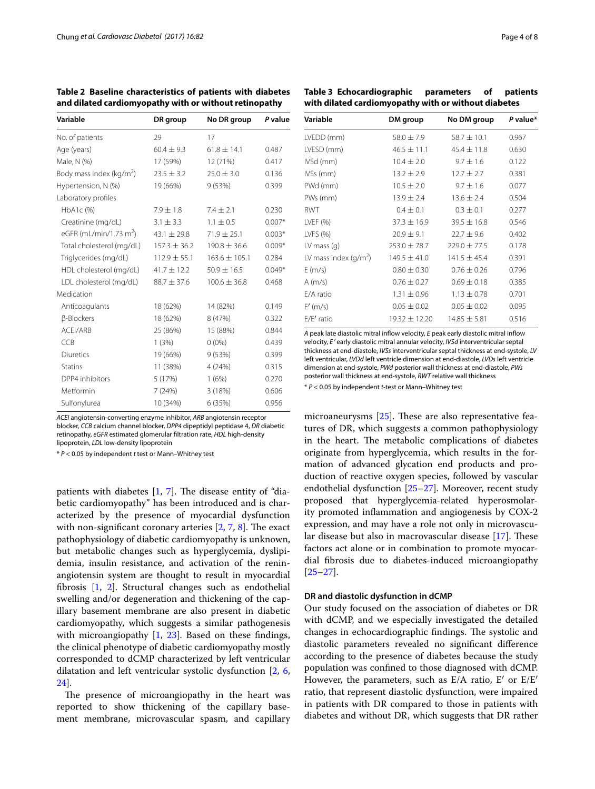| Variable                             | DR group         | No DR group       | P value  |
|--------------------------------------|------------------|-------------------|----------|
| No. of patients                      | 29               | 17                |          |
| Age (years)                          | $60.4 \pm 9.3$   | $61.8 + 14.1$     | 0.487    |
| Male, N (%)                          | 17 (59%)         | 12 (71%)          | 0.417    |
| Body mass index (kg/m <sup>2</sup> ) | $23.5 \pm 3.2$   | $25.0 \pm 3.0$    | 0.136    |
| Hypertension, N (%)                  | 19 (66%)         | 9(53%)            | 0.399    |
| Laboratory profiles                  |                  |                   |          |
| HbA1c (%)                            | $7.9 \pm 1.8$    | $7.4 \pm 2.1$     | 0.230    |
| Creatinine (mg/dL)                   | $3.1 \pm 3.3$    | $1.1 \pm 0.5$     | $0.007*$ |
| eGFR (mL/min/1.73 m <sup>2</sup> )   | $43.1 \pm 29.8$  | $71.9 \pm 25.1$   | $0.003*$ |
| Total cholesterol (mg/dL)            | $157.3 \pm 36.2$ | $190.8 \pm 36.6$  | $0.009*$ |
| Triglycerides (mg/dL)                | $112.9 \pm 55.1$ | $163.6 \pm 105.1$ | 0.284    |
| HDL cholesterol (mg/dL)              | $41.7 \pm 12.2$  | $50.9 + 16.5$     | $0.049*$ |
| LDL cholesterol (mg/dL)              | $88.7 \pm 37.6$  | $100.6 \pm 36.8$  | 0.468    |
| Medication                           |                  |                   |          |
| Anticoagulants                       | 18 (62%)         | 14 (82%)          | 0.149    |
| <b>B-Blockers</b>                    | 18 (62%)         | 8 (47%)           | 0.322    |
| <b>ACEI/ARB</b>                      | 25 (86%)         | 15 (88%)          | 0.844    |
| <b>CCB</b>                           | 1(3%)            | $0(0\%)$          | 0.439    |
| <b>Diuretics</b>                     | 19 (66%)         | 9(53%)            | 0.399    |
| <b>Statins</b>                       | 11 (38%)         | 4(24%)            | 0.315    |
| DPP4 inhibitors                      | 5 (17%)          | 1(6%)             | 0.270    |
| Metformin                            | 7 (24%)          | 3(18%)            | 0.606    |
| Sulfonylurea                         | 10 (34%)         | 6(35%)            | 0.956    |

<span id="page-3-0"></span>**Table 2 Baseline characteristics of patients with diabetes and dilated cardiomyopathy with or without retinopathy**

*ACEI* angiotensin-converting enzyme inhibitor, *ARB* angiotensin receptor blocker, *CCB* calcium channel blocker, *DPP4* dipeptidyl peptidase 4, *DR* diabetic retinopathy, *eGFR* estimated glomerular fltration rate, *HDL* high-density lipoprotein, *LDL* low-density lipoprotein

\* *P* < 0.05 by independent *t* test or Mann–Whitney test

patients with diabetes  $[1, 7]$  $[1, 7]$  $[1, 7]$  $[1, 7]$  $[1, 7]$ . The disease entity of "diabetic cardiomyopathy" has been introduced and is characterized by the presence of myocardial dysfunction with non-significant coronary arteries  $[2, 7, 8]$  $[2, 7, 8]$  $[2, 7, 8]$  $[2, 7, 8]$  $[2, 7, 8]$  $[2, 7, 8]$ . The exact pathophysiology of diabetic cardiomyopathy is unknown, but metabolic changes such as hyperglycemia, dyslipidemia, insulin resistance, and activation of the reninangiotensin system are thought to result in myocardial fbrosis [[1,](#page-6-0) [2](#page-6-1)]. Structural changes such as endothelial swelling and/or degeneration and thickening of the capillary basement membrane are also present in diabetic cardiomyopathy, which suggests a similar pathogenesis with microangiopathy  $[1, 23]$  $[1, 23]$  $[1, 23]$  $[1, 23]$ . Based on these findings, the clinical phenotype of diabetic cardiomyopathy mostly corresponded to dCMP characterized by left ventricular dilatation and left ventricular systolic dysfunction [[2,](#page-6-1) [6](#page-6-5), [24\]](#page-7-4).

The presence of microangiopathy in the heart was reported to show thickening of the capillary basement membrane, microvascular spasm, and capillary

<span id="page-3-1"></span>**Table 3 Echocardiographic parameters of patients with dilated cardiomyopathy with or without diabetes**

| Variable                      | DM group          | No DM group      | P value* |
|-------------------------------|-------------------|------------------|----------|
| LVEDD (mm)                    | $58.0 \pm 7.9$    | $58.7 \pm 10.1$  | 0.967    |
| LVESD (mm)                    | $46.5 \pm 11.1$   | $45.4 \pm 11.8$  | 0.630    |
| IVSd (mm)                     | $10.4 \pm 2.0$    | $9.7 \pm 1.6$    | 0.122    |
| IVSs (mm)                     | $13.2 \pm 2.9$    | $12.7 \pm 2.7$   | 0.381    |
| PWd (mm)                      | $10.5 + 2.0$      | $9.7 + 1.6$      | 0.077    |
| PWs (mm)                      | $13.9 \pm 2.4$    | $13.6 + 2.4$     | 0.504    |
| <b>RWT</b>                    | $0.4 \pm 0.1$     | $0.3 \pm 0.1$    | 0.277    |
| LVEF $(% )$                   | $37.3 \pm 16.9$   | $39.5 + 16.8$    | 0.546    |
| LVFS $(% )$                   | $20.9 \pm 9.1$    | $22.7 + 9.6$     | 0.402    |
| LV mass $(q)$                 | $253.0 \pm 78.7$  | $229.0 \pm 77.5$ | 0.178    |
| LV mass index $\frac{q}{m^2}$ | $149.5 \pm 41.0$  | $141.5 \pm 45.4$ | 0.391    |
| E(m/s)                        | $0.80 \pm 0.30$   | $0.76 \pm 0.26$  | 0.796    |
| $A$ (m/s)                     | $0.76 \pm 0.27$   | $0.69 \pm 0.18$  | 0.385    |
| E/A ratio                     | $1.31 \pm 0.96$   | $1.13 \pm 0.78$  | 0.701    |
| E'(m/s)                       | $0.05 \pm 0.02$   | $0.05 \pm 0.02$  | 0.095    |
| E/E' ratio                    | $19.32 \pm 12.20$ | $14.85 \pm 5.81$ | 0.516    |

*A* peak late diastolic mitral infow velocity, *E* peak early diastolic mitral infow velocity, *E′* early diastolic mitral annular velocity, *IVSd* interventricular septal thickness at end-diastole, *IVSs* interventricular septal thickness at end-systole, *LV* left ventricular, *LVDd* left ventricle dimension at end-diastole, *LVDs* left ventricle dimension at end-systole, *PWd* posterior wall thickness at end-diastole, *PWs* posterior wall thickness at end-systole, *RWT* relative wall thickness

\* *P* < 0.05 by independent *t*-test or Mann–Whitney test

microaneurysms  $[25]$  $[25]$ . These are also representative features of DR, which suggests a common pathophysiology in the heart. The metabolic complications of diabetes originate from hyperglycemia, which results in the formation of advanced glycation end products and production of reactive oxygen species, followed by vascular endothelial dysfunction [\[25](#page-7-5)[–27\]](#page-7-6). Moreover, recent study proposed that hyperglycemia-related hyperosmolarity promoted infammation and angiogenesis by COX-2 expression, and may have a role not only in microvascular disease but also in macrovascular disease  $[17]$  $[17]$ . These factors act alone or in combination to promote myocardial fbrosis due to diabetes-induced microangiopathy [[25–](#page-7-5)[27\]](#page-7-6).

#### **DR and diastolic dysfunction in dCMP**

Our study focused on the association of diabetes or DR with dCMP, and we especially investigated the detailed changes in echocardiographic findings. The systolic and diastolic parameters revealed no signifcant diference according to the presence of diabetes because the study population was confned to those diagnosed with dCMP. However, the parameters, such as E/A ratio, E′ or E/E′ ratio, that represent diastolic dysfunction, were impaired in patients with DR compared to those in patients with diabetes and without DR, which suggests that DR rather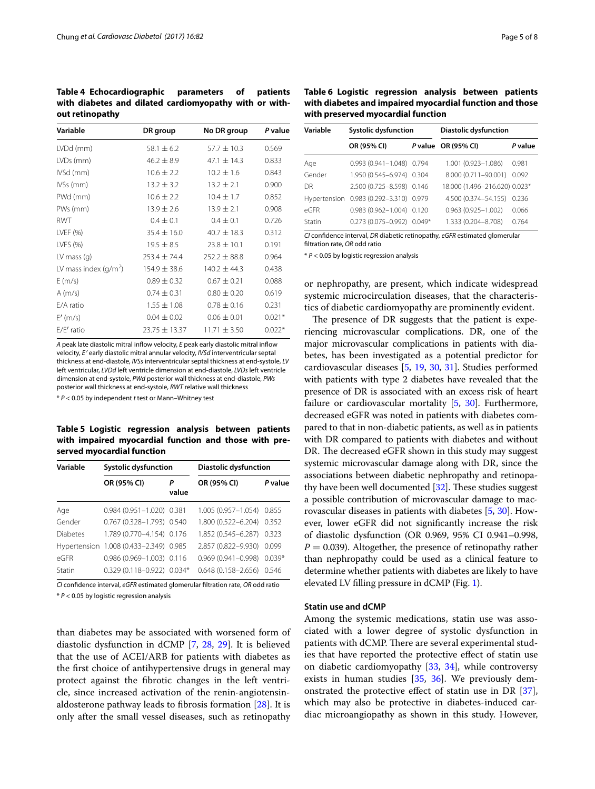<span id="page-4-0"></span>**Table 4 Echocardiographic parameters of patients with diabetes and dilated cardiomyopathy with or without retinopathy**

| Variable                | DR group          | No DR group      | P value  |
|-------------------------|-------------------|------------------|----------|
| LVDd (mm)               | $58.1 \pm 6.2$    | $57.7 \pm 10.3$  | 0.569    |
| LVDs (mm)               | $46.2 \pm 8.9$    | $47.1 \pm 14.3$  | 0.833    |
| IVSd (mm)               | $10.6 \pm 2.2$    | $10.2 \pm 1.6$   | 0.843    |
| IVSs (mm)               | $13.2 \pm 3.2$    | $13.2 \pm 2.1$   | 0.900    |
| PWd (mm)                | $10.6 \pm 2.2$    | $10.4 \pm 1.7$   | 0.852    |
| PWs (mm)                | $13.9 \pm 2.6$    | $13.9 \pm 2.1$   | 0.908    |
| <b>RWT</b>              | $0.4 \pm 0.1$     | $0.4 \pm 0.1$    | 0.726    |
| LVEF $(% )$             | $35.4 \pm 16.0$   | $40.7 + 18.3$    | 0.312    |
| LVFS $(% )$             | $19.5 \pm 8.5$    | $23.8 \pm 10.1$  | 0.191    |
| LV mass $(q)$           | $253.4 \pm 74.4$  | $252.2 \pm 88.8$ | 0.964    |
| LV mass index $(q/m^2)$ | $154.9 \pm 38.6$  | $140.2 \pm 44.3$ | 0.438    |
| E(m/s)                  | $0.89 \pm 0.32$   | $0.67 \pm 0.21$  | 0.088    |
| A(m/s)                  | $0.74 \pm 0.31$   | $0.80 \pm 0.20$  | 0.619    |
| E/A ratio               | $1.55 \pm 1.08$   | $0.78 \pm 0.16$  | 0.231    |
| E'(m/s)                 | $0.04 \pm 0.02$   | $0.06 \pm 0.01$  | $0.021*$ |
| $E/E'$ ratio            | $23.75 \pm 13.37$ | $11.71 \pm 3.50$ | $0.022*$ |

*A* peak late diastolic mitral infow velocity, *E* peak early diastolic mitral infow velocity, *E′* early diastolic mitral annular velocity, *IVSd* interventricular septal thickness at end-diastole, *IVSs* interventricular septal thickness at end-systole, *LV* left ventricular, *LVDd* left ventricle dimension at end-diastole, *LVDs* left ventricle dimension at end-systole, *PWd* posterior wall thickness at end-diastole, *PWs* posterior wall thickness at end-systole, *RWT* relative wall thickness

\* *P* < 0.05 by independent *t* test or Mann–Whitney test

<span id="page-4-1"></span>**Table 5 Logistic regression analysis between patients with impaired myocardial function and those with preserved myocardial function**

| Variable | <b>Systolic dysfunction</b>            |            | <b>Diastolic dysfunction</b> |          |
|----------|----------------------------------------|------------|------------------------------|----------|
|          | OR (95% CI)                            | Ρ<br>value | OR (95% CI)                  | P value  |
| Age      | $0.984(0.951 - 1.020)$ 0.381           |            | 1.005 (0.957-1.054) 0.855    |          |
| Gender   | 0.767 (0.328-1.793) 0.540              |            | 1.800 (0.522-6.204) 0.352    |          |
| Diabetes | 1.789 (0.770-4.154) 0.176              |            | 1.852 (0.545-6.287) 0.323    |          |
|          | Hypertension 1.008 (0.433-2.349) 0.985 |            | 2.857 (0.822-9.930)          | 0.099    |
| eGFR     | 0.986 (0.969-1.003) 0.116              |            | $0.969(0.941 - 0.998)$       | $0.039*$ |
| Statin   | 0.329 (0.118-0.922) 0.034*             |            | $0.648(0.158 - 2.656)$       | 0.546    |

*CI* confdence interval, *eGFR* estimated glomerular fltration rate, *OR* odd ratio \* *P* < 0.05 by logistic regression analysis

than diabetes may be associated with worsened form of diastolic dysfunction in dCMP [[7,](#page-6-6) [28](#page-7-7), [29\]](#page-7-8). It is believed that the use of ACEI/ARB for patients with diabetes as the frst choice of antihypertensive drugs in general may protect against the fbrotic changes in the left ventricle, since increased activation of the renin-angiotensinaldosterone pathway leads to fbrosis formation [\[28](#page-7-7)]. It is only after the small vessel diseases, such as retinopathy

<span id="page-4-2"></span>**Table 6 Logistic regression analysis between patients with diabetes and impaired myocardial function and those with preserved myocardial function**

| Variable           | <b>Systolic dysfunction</b> |          | <b>Diastolic dysfunction</b>  |         |
|--------------------|-----------------------------|----------|-------------------------------|---------|
|                    | OR (95% CI)                 |          | P value OR (95% CI)           | P value |
| Age                | 0.993 (0.941-1.048) 0.794   |          | 1.001 (0.923-1.086)           | 0.981   |
| Gender             | 1.950 (0.545-6.974) 0.304   |          | 8.000 (0.711-90.001)          | 0.092   |
| DR                 | 2.500 (0.725-8.598) 0.146   |          | 18.000 (1.496-216.620) 0.023* |         |
| Hypertension       | 0.983 (0.292-3.310) 0.979   |          | 4.500 (0.374-54.155)          | 0.236   |
| $\overline{P}$ GFR | 0.983 (0.962-1.004) 0.120   |          | $0.963(0.925 - 1.002)$        | 0.066   |
| Statin             | $0.273(0.075 - 0.992)$      | $0.049*$ | 1.333 (0.204-8.708)           | 0.764   |

*CI* confdence interval, *DR* diabetic retinopathy, *eGFR* estimated glomerular fltration rate, *OR* odd ratio

\* *P* < 0.05 by logistic regression analysis

or nephropathy, are present, which indicate widespread systemic microcirculation diseases, that the characteristics of diabetic cardiomyopathy are prominently evident.

The presence of DR suggests that the patient is experiencing microvascular complications. DR, one of the major microvascular complications in patients with diabetes, has been investigated as a potential predictor for cardiovascular diseases [[5,](#page-6-4) [19,](#page-6-15) [30,](#page-7-9) [31\]](#page-7-10). Studies performed with patients with type 2 diabetes have revealed that the presence of DR is associated with an excess risk of heart failure or cardiovascular mortality [\[5](#page-6-4), [30](#page-7-9)]. Furthermore, decreased eGFR was noted in patients with diabetes compared to that in non-diabetic patients, as well as in patients with DR compared to patients with diabetes and without DR. The decreased eGFR shown in this study may suggest systemic microvascular damage along with DR, since the associations between diabetic nephropathy and retinopathy have been well documented  $[32]$ . These studies suggest a possible contribution of microvascular damage to macrovascular diseases in patients with diabetes [\[5](#page-6-4), [30\]](#page-7-9). However, lower eGFR did not signifcantly increase the risk of diastolic dysfunction (OR 0.969, 95% CI 0.941–0.998,  $P = 0.039$ . Altogether, the presence of retinopathy rather than nephropathy could be used as a clinical feature to determine whether patients with diabetes are likely to have elevated LV flling pressure in dCMP (Fig. [1](#page-5-1)).

#### **Statin use and dCMP**

Among the systemic medications, statin use was associated with a lower degree of systolic dysfunction in patients with dCMP. There are several experimental studies that have reported the protective efect of statin use on diabetic cardiomyopathy [\[33,](#page-7-12) [34](#page-7-13)], while controversy exists in human studies [[35,](#page-7-14) [36\]](#page-7-15). We previously demonstrated the protective efect of statin use in DR [\[37](#page-7-16)], which may also be protective in diabetes-induced cardiac microangiopathy as shown in this study. However,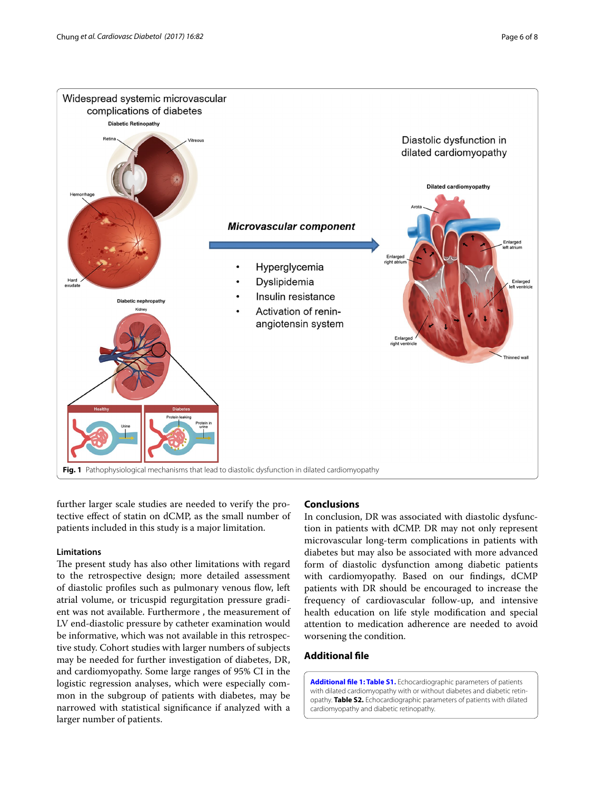

<span id="page-5-1"></span>**Fig. 1** Pathophysiological mechanisms that lead to diastolic dysfunction in dilated cardiomyopathy

further larger scale studies are needed to verify the protective efect of statin on dCMP, as the small number of patients included in this study is a major limitation.

## **Limitations**

Hard

The present study has also other limitations with regard to the retrospective design; more detailed assessment of diastolic profiles such as pulmonary venous flow, left atrial volume, or tricuspid regurgitation pressure gradient was not available. Furthermore , the measurement of LV end-diastolic pressure by catheter examination would be informative, which was not available in this retrospective study. Cohort studies with larger numbers of subjects may be needed for further investigation of diabetes, DR, and cardiomyopathy. Some large ranges of 95% CI in the logistic regression analyses, which were especially common in the subgroup of patients with diabetes, may be narrowed with statistical signifcance if analyzed with a larger number of patients.

## **Conclusions**

In conclusion, DR was associated with diastolic dysfunction in patients with dCMP. DR may not only represent microvascular long-term complications in patients with diabetes but may also be associated with more advanced form of diastolic dysfunction among diabetic patients with cardiomyopathy. Based on our fndings, dCMP patients with DR should be encouraged to increase the frequency of cardiovascular follow-up, and intensive health education on life style modifcation and special attention to medication adherence are needed to avoid worsening the condition.

## **Additional fle**

<span id="page-5-0"></span>**[Additional fle 1: Table S1.](http://dx.doi.org/10.1186/s12933-017-0566-y)** Echocardiographic parameters of patients with dilated cardiomyopathy with or without diabetes and diabetic retinopathy. **Table S2.** Echocardiographic parameters of patients with dilated cardiomyopathy and diabetic retinopathy.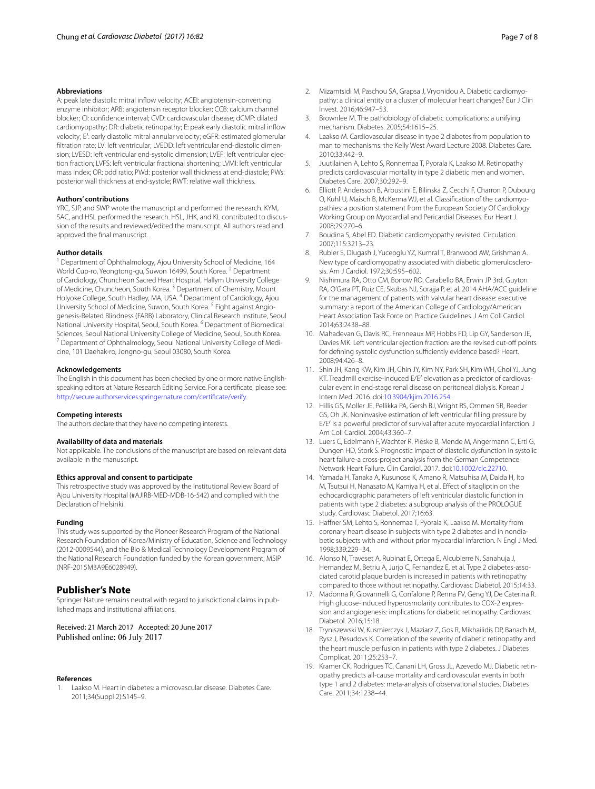#### **Abbreviations**

A: peak late diastolic mitral infow velocity; ACEI: angiotensin-converting enzyme inhibitor; ARB: angiotensin receptor blocker; CCB: calcium channel blocker; CI: confdence interval; CVD: cardiovascular disease; dCMP: dilated cardiomyopathy; DR: diabetic retinopathy; E: peak early diastolic mitral infow velocity; E′: early diastolic mitral annular velocity; eGFR: estimated glomerular filtration rate; LV: left ventricular; LVEDD: left ventricular end-diastolic dimension; LVESD: left ventricular end-systolic dimension; LVEF: left ventricular ejection fraction; LVFS: left ventricular fractional shortening; LVMI: left ventricular mass index; OR: odd ratio; PWd: posterior wall thickness at end-diastole; PWs: posterior wall thickness at end-systole; RWT: relative wall thickness.

#### **Authors' contributions**

YRC, SJP, and SWP wrote the manuscript and performed the research. KYM, SAC, and HSL performed the research. HSL, JHK, and KL contributed to discussion of the results and reviewed/edited the manuscript. All authors read and approved the fnal manuscript.

#### **Author details**

Department of Ophthalmology, Ajou University School of Medicine, 164 World Cup-ro, Yeongtong-gu, Suwon 16499, South Korea.<sup>2</sup> Department of Cardiology, Chuncheon Sacred Heart Hospital, Hallym University College of Medicine, Chuncheon, South Korea.<sup>3</sup> Department of Chemistry, Mount Holyoke College, South Hadley, MA, USA. 4 Department of Cardiology, Ajou University School of Medicine, Suwon, South Korea.<sup>5</sup> Fight against Angiogenesis‑Related Blindness (FARB) Laboratory, Clinical Research Institute, Seoul National University Hospital, Seoul, South Korea. 6 Department of Biomedical Sciences, Seoul National University College of Medicine, Seoul, South Korea.<br><sup>7</sup> Department of Ophthalmology, Seoul National University College of Medicine, 101 Daehak‑ro, Jongno‑gu, Seoul 03080, South Korea.

#### **Acknowledgements**

The English in this document has been checked by one or more native Englishspeaking editors at Nature Research Editing Service. For a certifcate, please see: [http://secure.authorservices.springernature.com/certifcate/verify](http://secure.authorservices.springernature.com/certificate/verify).

#### **Competing interests**

The authors declare that they have no competing interests.

#### **Availability of data and materials**

Not applicable. The conclusions of the manuscript are based on relevant data available in the manuscript.

#### **Ethics approval and consent to participate**

This retrospective study was approved by the Institutional Review Board of Ajou University Hospital (#AJIRB-MED-MDB-16-542) and complied with the Declaration of Helsinki.

#### **Funding**

This study was supported by the Pioneer Research Program of the National Research Foundation of Korea/Ministry of Education, Science and Technology (2012-0009544), and the Bio & Medical Technology Development Program of the National Research Foundation funded by the Korean government, MSIP (NRF-2015M3A9E6028949).

#### **Publisher's Note**

Springer Nature remains neutral with regard to jurisdictional claims in published maps and institutional affiliations.

#### Received: 21 March 2017 Accepted: 20 June 2017 Published online: 06 July 2017

#### **References**

<span id="page-6-0"></span>Laakso M. Heart in diabetes: a microvascular disease. Diabetes Care. 2011;34(Suppl 2):S145–9.

- <span id="page-6-1"></span>2. Mizamtsidi M, Paschou SA, Grapsa J, Vryonidou A. Diabetic cardiomyopathy: a clinical entity or a cluster of molecular heart changes? Eur J Clin Invest. 2016;46:947–53.
- <span id="page-6-2"></span>3. Brownlee M. The pathobiology of diabetic complications: a unifying mechanism. Diabetes. 2005;54:1615–25.
- <span id="page-6-3"></span>4. Laakso M. Cardiovascular disease in type 2 diabetes from population to man to mechanisms: the Kelly West Award Lecture 2008. Diabetes Care. 2010;33:442–9.
- <span id="page-6-4"></span>5. Juutilainen A, Lehto S, Ronnemaa T, Pyorala K, Laakso M. Retinopathy predicts cardiovascular mortality in type 2 diabetic men and women. Diabetes Care. 2007;30:292–9.
- <span id="page-6-5"></span>6. Elliott P, Andersson B, Arbustini E, Bilinska Z, Cecchi F, Charron P, Dubourg O, Kuhl U, Maisch B, McKenna WJ, et al. Classification of the cardiomyopathies: a position statement from the European Society Of Cardiology Working Group on Myocardial and Pericardial Diseases. Eur Heart J. 2008;29:270–6.
- <span id="page-6-6"></span>7. Boudina S, Abel ED. Diabetic cardiomyopathy revisited. Circulation. 2007;115:3213–23.
- <span id="page-6-7"></span>8. Rubler S, Dlugash J, Yuceoglu YZ, Kumral T, Branwood AW, Grishman A. New type of cardiomyopathy associated with diabetic glomerulosclerosis. Am J Cardiol. 1972;30:595–602.
- <span id="page-6-8"></span>9. Nishimura RA, Otto CM, Bonow RO, Carabello BA, Erwin JP 3rd, Guyton RA, O'Gara PT, Ruiz CE, Skubas NJ, Sorajja P, et al. 2014 AHA/ACC guideline for the management of patients with valvular heart disease: executive summary: a report of the American College of Cardiology/American Heart Association Task Force on Practice Guidelines. J Am Coll Cardiol. 2014;63:2438–88.
- <span id="page-6-9"></span>10. Mahadevan G, Davis RC, Frenneaux MP, Hobbs FD, Lip GY, Sanderson JE, Davies MK. Left ventricular ejection fraction: are the revised cut-off points for defining systolic dysfunction sufficiently evidence based? Heart. 2008;94:426–8.
- 11. Shin JH, Kang KW, Kim JH, Chin JY, Kim NY, Park SH, Kim WH, Choi YJ, Jung KT. Treadmill exercise-induced E/E' elevation as a predictor of cardiovascular event in end-stage renal disease on peritoneal dialysis. Korean J Intern Med. 2016. doi[:10.3904/kjim.2016.254.](http://dx.doi.org/10.3904/kjim.2016.254)
- 12. Hillis GS, Moller JE, Pellikka PA, Gersh BJ, Wright RS, Ommen SR, Reeder GS, Oh JK. Noninvasive estimation of left ventricular flling pressure by E/E′ is a powerful predictor of survival after acute myocardial infarction. J Am Coll Cardiol. 2004;43:360–7.
- 13. Luers C, Edelmann F, Wachter R, Pieske B, Mende M, Angermann C, Ertl G, Dungen HD, Stork S. Prognostic impact of diastolic dysfunction in systolic heart failure-a cross-project analysis from the German Competence Network Heart Failure. Clin Cardiol. 2017. doi:[10.1002/clc.22710.](http://dx.doi.org/10.1002/clc.22710)
- <span id="page-6-10"></span>14. Yamada H, Tanaka A, Kusunose K, Amano R, Matsuhisa M, Daida H, Ito M, Tsutsui H, Nanasato M, Kamiya H, et al. Efect of sitagliptin on the echocardiographic parameters of left ventricular diastolic function in patients with type 2 diabetes: a subgroup analysis of the PROLOGUE study. Cardiovasc Diabetol. 2017;16:63.
- <span id="page-6-11"></span>15. Hafner SM, Lehto S, Ronnemaa T, Pyorala K, Laakso M. Mortality from coronary heart disease in subjects with type 2 diabetes and in nondia‑ betic subjects with and without prior myocardial infarction. N Engl J Med. 1998;339:229–34.
- <span id="page-6-12"></span>16. Alonso N, Traveset A, Rubinat E, Ortega E, Alcubierre N, Sanahuja J, Hernandez M, Betriu A, Jurjo C, Fernandez E, et al. Type 2 diabetes-associated carotid plaque burden is increased in patients with retinopathy compared to those without retinopathy. Cardiovasc Diabetol. 2015;14:33.
- <span id="page-6-14"></span>17. Madonna R, Giovannelli G, Confalone P, Renna FV, Geng YJ, De Caterina R. High glucose-induced hyperosmolarity contributes to COX-2 expression and angiogenesis: implications for diabetic retinopathy. Cardiovasc Diabetol. 2016;15:18.
- <span id="page-6-13"></span>18. Tryniszewski W, Kusmierczyk J, Maziarz Z, Gos R, Mikhailidis DP, Banach M, Rysz J, Pesudovs K. Correlation of the severity of diabetic retinopathy and the heart muscle perfusion in patients with type 2 diabetes. J Diabetes Complicat. 2011;25:253–7.
- <span id="page-6-15"></span>19. Kramer CK, Rodrigues TC, Canani LH, Gross JL, Azevedo MJ. Diabetic retinopathy predicts all-cause mortality and cardiovascular events in both type 1 and 2 diabetes: meta-analysis of observational studies. Diabetes Care. 2011;34:1238–44.